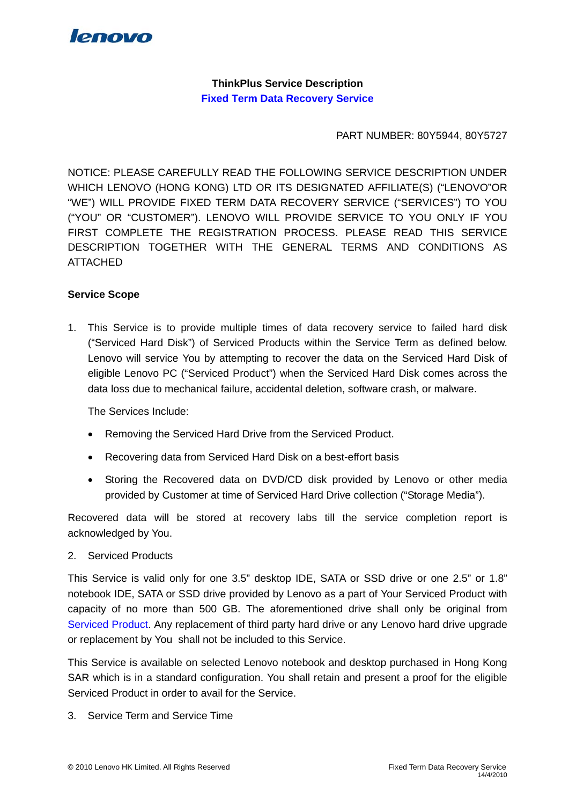

**ThinkPlus Service Description Fixed Term Data Recovery Service** 

PART NUMBER: 80Y5944, 80Y5727

NOTICE: PLEASE CAREFULLY READ THE FOLLOWING SERVICE DESCRIPTION UNDER WHICH LENOVO (HONG KONG) LTD OR ITS DESIGNATED AFFILIATE(S) ("LENOVO"OR "WE") WILL PROVIDE FIXED TERM DATA RECOVERY SERVICE ("SERVICES") TO YOU ("YOU" OR "CUSTOMER"). LENOVO WILL PROVIDE SERVICE TO YOU ONLY IF YOU FIRST COMPLETE THE REGISTRATION PROCESS. PLEASE READ THIS SERVICE DESCRIPTION TOGETHER WITH THE GENERAL TERMS AND CONDITIONS AS ATTACHED

## **Service Scope**

1. This Service is to provide multiple times of data recovery service to failed hard disk ("Serviced Hard Disk") of Serviced Products within the Service Term as defined below. Lenovo will service You by attempting to recover the data on the Serviced Hard Disk of eligible Lenovo PC ("Serviced Product") when the Serviced Hard Disk comes across the data loss due to mechanical failure, accidental deletion, software crash, or malware.

The Services Include:

- Removing the Serviced Hard Drive from the Serviced Product.
- Recovering data from Serviced Hard Disk on a best-effort basis
- Storing the Recovered data on DVD/CD disk provided by Lenovo or other media provided by Customer at time of Serviced Hard Drive collection ("Storage Media").

Recovered data will be stored at recovery labs till the service completion report is acknowledged by You.

#### 2. Serviced Products

This Service is valid only for one 3.5" desktop IDE, SATA or SSD drive or one 2.5" or 1.8" notebook IDE, SATA or SSD drive provided by Lenovo as a part of Your Serviced Product with capacity of no more than 500 GB. The aforementioned drive shall only be original from Serviced Product. Any replacement of third party hard drive or any Lenovo hard drive upgrade or replacement by You shall not be included to this Service.

This Service is available on selected Lenovo notebook and desktop purchased in Hong Kong SAR which is in a standard configuration. You shall retain and present a proof for the eligible Serviced Product in order to avail for the Service.

3. Service Term and Service Time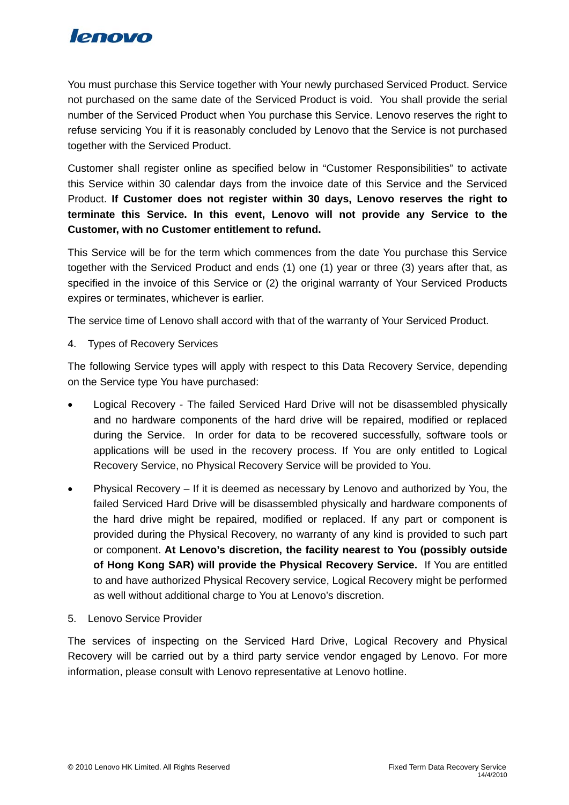

You must purchase this Service together with Your newly purchased Serviced Product. Service not purchased on the same date of the Serviced Product is void. You shall provide the serial number of the Serviced Product when You purchase this Service. Lenovo reserves the right to refuse servicing You if it is reasonably concluded by Lenovo that the Service is not purchased together with the Serviced Product.

Customer shall register online as specified below in "Customer Responsibilities" to activate this Service within 30 calendar days from the invoice date of this Service and the Serviced Product. **If Customer does not register within 30 days, Lenovo reserves the right to terminate this Service. In this event, Lenovo will not provide any Service to the Customer, with no Customer entitlement to refund.** 

This Service will be for the term which commences from the date You purchase this Service together with the Serviced Product and ends (1) one (1) year or three (3) years after that, as specified in the invoice of this Service or (2) the original warranty of Your Serviced Products expires or terminates, whichever is earlier.

The service time of Lenovo shall accord with that of the warranty of Your Serviced Product.

4. Types of Recovery Services

The following Service types will apply with respect to this Data Recovery Service, depending on the Service type You have purchased:

- Logical Recovery The failed Serviced Hard Drive will not be disassembled physically and no hardware components of the hard drive will be repaired, modified or replaced during the Service. In order for data to be recovered successfully, software tools or applications will be used in the recovery process. If You are only entitled to Logical Recovery Service, no Physical Recovery Service will be provided to You.
- Physical Recovery If it is deemed as necessary by Lenovo and authorized by You, the failed Serviced Hard Drive will be disassembled physically and hardware components of the hard drive might be repaired, modified or replaced. If any part or component is provided during the Physical Recovery, no warranty of any kind is provided to such part or component. **At Lenovo's discretion, the facility nearest to You (possibly outside of Hong Kong SAR) will provide the Physical Recovery Service.** If You are entitled to and have authorized Physical Recovery service, Logical Recovery might be performed as well without additional charge to You at Lenovo's discretion.
- 5. Lenovo Service Provider

The services of inspecting on the Serviced Hard Drive, Logical Recovery and Physical Recovery will be carried out by a third party service vendor engaged by Lenovo. For more information, please consult with Lenovo representative at Lenovo hotline.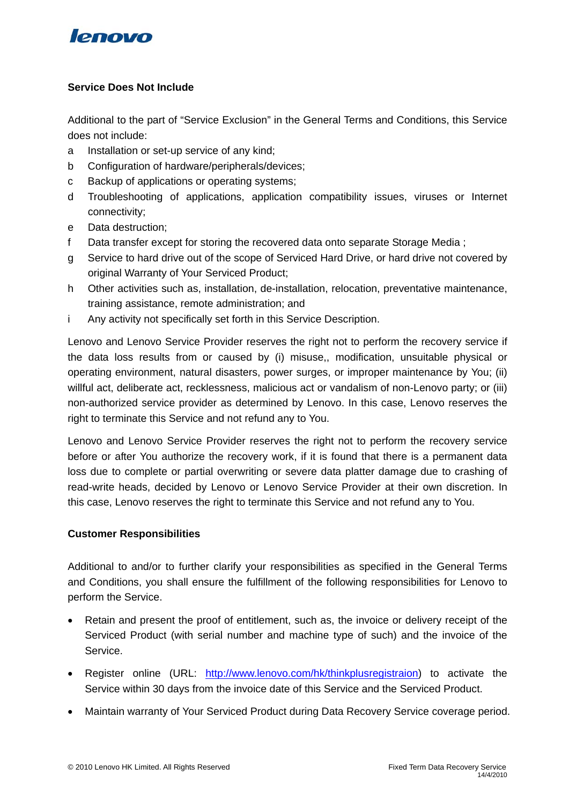# lenovo

# **Service Does Not Include**

Additional to the part of "Service Exclusion" in the General Terms and Conditions, this Service does not include:

- a Installation or set-up service of any kind;
- b Configuration of hardware/peripherals/devices;
- c Backup of applications or operating systems;
- d Troubleshooting of applications, application compatibility issues, viruses or Internet connectivity;
- e Data destruction;
- f Data transfer except for storing the recovered data onto separate Storage Media ;
- g Service to hard drive out of the scope of Serviced Hard Drive, or hard drive not covered by original Warranty of Your Serviced Product;
- h Other activities such as, installation, de-installation, relocation, preventative maintenance, training assistance, remote administration; and
- i Any activity not specifically set forth in this Service Description.

Lenovo and Lenovo Service Provider reserves the right not to perform the recovery service if the data loss results from or caused by (i) misuse,, modification, unsuitable physical or operating environment, natural disasters, power surges, or improper maintenance by You; (ii) willful act, deliberate act, recklessness, malicious act or vandalism of non-Lenovo party; or (iii) non-authorized service provider as determined by Lenovo. In this case, Lenovo reserves the right to terminate this Service and not refund any to You.

Lenovo and Lenovo Service Provider reserves the right not to perform the recovery service before or after You authorize the recovery work, if it is found that there is a permanent data loss due to complete or partial overwriting or severe data platter damage due to crashing of read-write heads, decided by Lenovo or Lenovo Service Provider at their own discretion. In this case, Lenovo reserves the right to terminate this Service and not refund any to You.

## **Customer Responsibilities**

Additional to and/or to further clarify your responsibilities as specified in the General Terms and Conditions, you shall ensure the fulfillment of the following responsibilities for Lenovo to perform the Service.

- Retain and present the proof of entitlement, such as, the invoice or delivery receipt of the Serviced Product (with serial number and machine type of such) and the invoice of the Service.
- Register online (URL: [http://www.lenovo.com/hk/thinkplusregistraion\)](http://www.lenovo.com/hk/thinkplusregistraion) to activate the Service within 30 days from the invoice date of this Service and the Serviced Product.
- Maintain warranty of Your Serviced Product during Data Recovery Service coverage period.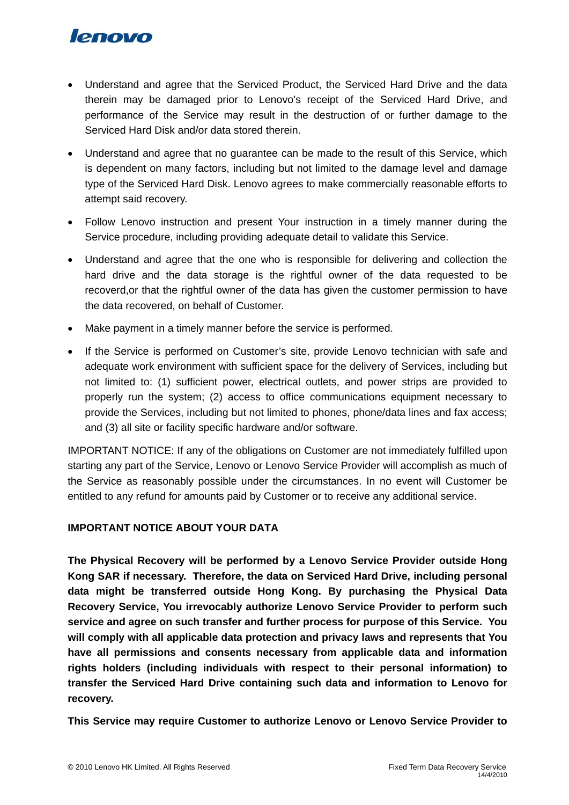# **lenovo**

- Understand and agree that the Serviced Product, the Serviced Hard Drive and the data therein may be damaged prior to Lenovo's receipt of the Serviced Hard Drive, and performance of the Service may result in the destruction of or further damage to the Serviced Hard Disk and/or data stored therein.
- Understand and agree that no guarantee can be made to the result of this Service, which is dependent on many factors, including but not limited to the damage level and damage type of the Serviced Hard Disk. Lenovo agrees to make commercially reasonable efforts to attempt said recovery.
- Follow Lenovo instruction and present Your instruction in a timely manner during the Service procedure, including providing adequate detail to validate this Service.
- Understand and agree that the one who is responsible for delivering and collection the hard drive and the data storage is the rightful owner of the data requested to be recoverd,or that the rightful owner of the data has given the customer permission to have the data recovered, on behalf of Customer.
- Make payment in a timely manner before the service is performed.
- If the Service is performed on Customer's site, provide Lenovo technician with safe and adequate work environment with sufficient space for the delivery of Services, including but not limited to: (1) sufficient power, electrical outlets, and power strips are provided to properly run the system; (2) access to office communications equipment necessary to provide the Services, including but not limited to phones, phone/data lines and fax access; and (3) all site or facility specific hardware and/or software.

IMPORTANT NOTICE: If any of the obligations on Customer are not immediately fulfilled upon starting any part of the Service, Lenovo or Lenovo Service Provider will accomplish as much of the Service as reasonably possible under the circumstances. In no event will Customer be entitled to any refund for amounts paid by Customer or to receive any additional service.

# **IMPORTANT NOTICE ABOUT YOUR DATA**

**The Physical Recovery will be performed by a Lenovo Service Provider outside Hong Kong SAR if necessary. Therefore, the data on Serviced Hard Drive, including personal data might be transferred outside Hong Kong. By purchasing the Physical Data Recovery Service, You irrevocably authorize Lenovo Service Provider to perform such service and agree on such transfer and further process for purpose of this Service. You will comply with all applicable data protection and privacy laws and represents that You have all permissions and consents necessary from applicable data and information rights holders (including individuals with respect to their personal information) to transfer the Serviced Hard Drive containing such data and information to Lenovo for recovery.** 

**This Service may require Customer to authorize Lenovo or Lenovo Service Provider to**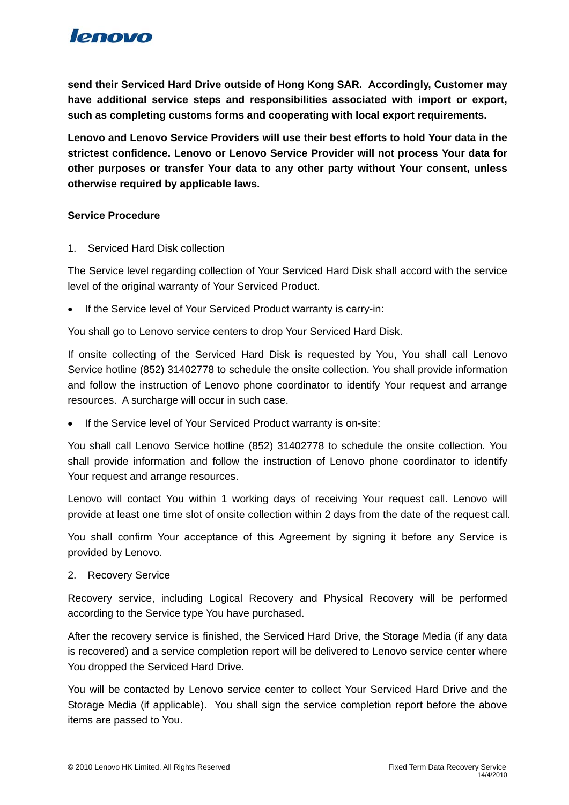

**send their Serviced Hard Drive outside of Hong Kong SAR. Accordingly, Customer may have additional service steps and responsibilities associated with import or export, such as completing customs forms and cooperating with local export requirements.** 

**Lenovo and Lenovo Service Providers will use their best efforts to hold Your data in the strictest confidence. Lenovo or Lenovo Service Provider will not process Your data for other purposes or transfer Your data to any other party without Your consent, unless otherwise required by applicable laws.** 

### **Service Procedure**

1. Serviced Hard Disk collection

The Service level regarding collection of Your Serviced Hard Disk shall accord with the service level of the original warranty of Your Serviced Product.

If the Service level of Your Serviced Product warranty is carry-in:

You shall go to Lenovo service centers to drop Your Serviced Hard Disk.

If onsite collecting of the Serviced Hard Disk is requested by You, You shall call Lenovo Service hotline (852) 31402778 to schedule the onsite collection. You shall provide information and follow the instruction of Lenovo phone coordinator to identify Your request and arrange resources. A surcharge will occur in such case.

• If the Service level of Your Serviced Product warranty is on-site:

You shall call Lenovo Service hotline (852) 31402778 to schedule the onsite collection. You shall provide information and follow the instruction of Lenovo phone coordinator to identify Your request and arrange resources.

Lenovo will contact You within 1 working days of receiving Your request call. Lenovo will provide at least one time slot of onsite collection within 2 days from the date of the request call.

You shall confirm Your acceptance of this Agreement by signing it before any Service is provided by Lenovo.

2. Recovery Service

Recovery service, including Logical Recovery and Physical Recovery will be performed according to the Service type You have purchased.

After the recovery service is finished, the Serviced Hard Drive, the Storage Media (if any data is recovered) and a service completion report will be delivered to Lenovo service center where You dropped the Serviced Hard Drive.

You will be contacted by Lenovo service center to collect Your Serviced Hard Drive and the Storage Media (if applicable). You shall sign the service completion report before the above items are passed to You.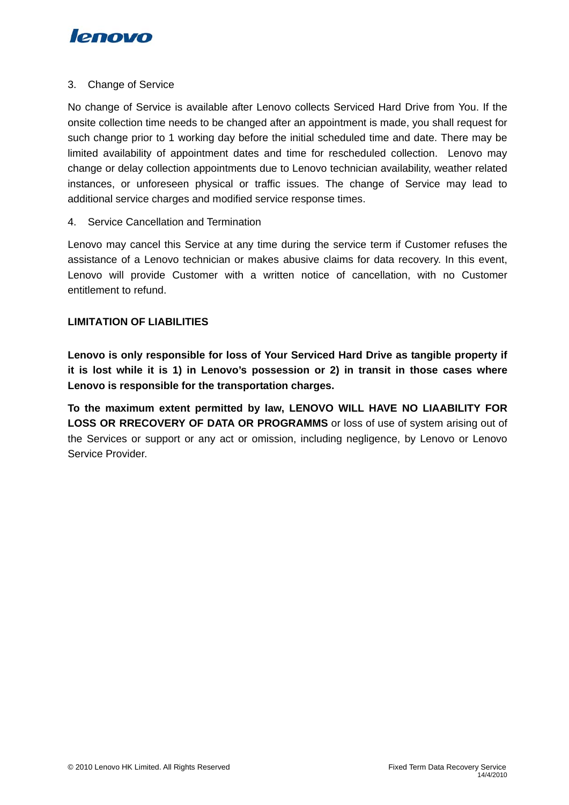

### 3. Change of Service

No change of Service is available after Lenovo collects Serviced Hard Drive from You. If the onsite collection time needs to be changed after an appointment is made, you shall request for such change prior to 1 working day before the initial scheduled time and date. There may be limited availability of appointment dates and time for rescheduled collection. Lenovo may change or delay collection appointments due to Lenovo technician availability, weather related instances, or unforeseen physical or traffic issues. The change of Service may lead to additional service charges and modified service response times.

## 4. Service Cancellation and Termination

Lenovo may cancel this Service at any time during the service term if Customer refuses the assistance of a Lenovo technician or makes abusive claims for data recovery. In this event, Lenovo will provide Customer with a written notice of cancellation, with no Customer entitlement to refund.

## **LIMITATION OF LIABILITIES**

**Lenovo is only responsible for loss of Your Serviced Hard Drive as tangible property if it is lost while it is 1) in Lenovo's possession or 2) in transit in those cases where Lenovo is responsible for the transportation charges.** 

**To the maximum extent permitted by law, LENOVO WILL HAVE NO LIAABILITY FOR LOSS OR RRECOVERY OF DATA OR PROGRAMMS** or loss of use of system arising out of the Services or support or any act or omission, including negligence, by Lenovo or Lenovo Service Provider.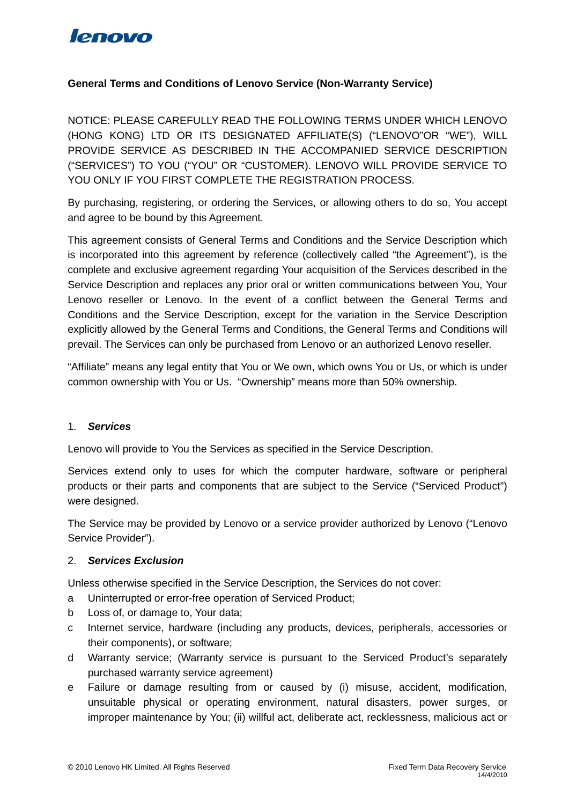

## **General Terms and Conditions of Lenovo Service (Non-Warranty Service)**

NOTICE: PLEASE CAREFULLY READ THE FOLLOWING TERMS UNDER WHICH LENOVO (HONG KONG) LTD OR ITS DESIGNATED AFFILIATE(S) ("LENOVO"OR "WE"), WILL PROVIDE SERVICE AS DESCRIBED IN THE ACCOMPANIED SERVICE DESCRIPTION ("SERVICES") TO YOU ("YOU" OR "CUSTOMER). LENOVO WILL PROVIDE SERVICE TO YOU ONLY IF YOU FIRST COMPLETE THE REGISTRATION PROCESS.

By purchasing, registering, or ordering the Services, or allowing others to do so, You accept and agree to be bound by this Agreement.

This agreement consists of General Terms and Conditions and the Service Description which is incorporated into this agreement by reference (collectively called "the Agreement"), is the complete and exclusive agreement regarding Your acquisition of the Services described in the Service Description and replaces any prior oral or written communications between You, Your Lenovo reseller or Lenovo. In the event of a conflict between the General Terms and Conditions and the Service Description, except for the variation in the Service Description explicitly allowed by the General Terms and Conditions, the General Terms and Conditions will prevail. The Services can only be purchased from Lenovo or an authorized Lenovo reseller.

"Affiliate" means any legal entity that You or We own, which owns You or Us, or which is under common ownership with You or Us. "Ownership" means more than 50% ownership.

#### 1. *Services*

Lenovo will provide to You the Services as specified in the Service Description.

Services extend only to uses for which the computer hardware, software or peripheral products or their parts and components that are subject to the Service ("Serviced Product") were designed.

The Service may be provided by Lenovo or a service provider authorized by Lenovo ("Lenovo Service Provider").

#### 2. *Services Exclusion*

Unless otherwise specified in the Service Description, the Services do not cover:

- a Uninterrupted or error-free operation of Serviced Product;
- b Loss of, or damage to, Your data;
- c Internet service, hardware (including any products, devices, peripherals, accessories or their components), or software;
- d Warranty service; (Warranty service is pursuant to the Serviced Product's separately purchased warranty service agreement)
- e Failure or damage resulting from or caused by (i) misuse, accident, modification, unsuitable physical or operating environment, natural disasters, power surges, or improper maintenance by You; (ii) willful act, deliberate act, recklessness, malicious act or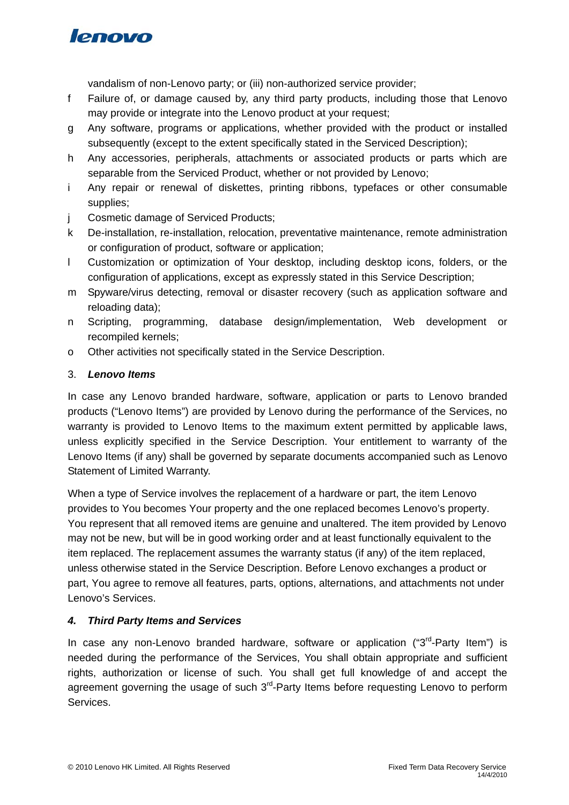

vandalism of non-Lenovo party; or (iii) non-authorized service provider;

- f Failure of, or damage caused by, any third party products, including those that Lenovo may provide or integrate into the Lenovo product at your request;
- g Any software, programs or applications, whether provided with the product or installed subsequently (except to the extent specifically stated in the Serviced Description);
- h Any accessories, peripherals, attachments or associated products or parts which are separable from the Serviced Product, whether or not provided by Lenovo;
- i Any repair or renewal of diskettes, printing ribbons, typefaces or other consumable supplies;
- j Cosmetic damage of Serviced Products;
- k De-installation, re-installation, relocation, preventative maintenance, remote administration or configuration of product, software or application;
- l Customization or optimization of Your desktop, including desktop icons, folders, or the configuration of applications, except as expressly stated in this Service Description;
- m Spyware/virus detecting, removal or disaster recovery (such as application software and reloading data);
- n Scripting, programming, database design/implementation, Web development or recompiled kernels;
- o Other activities not specifically stated in the Service Description.

## 3. *Lenovo Items*

In case any Lenovo branded hardware, software, application or parts to Lenovo branded products ("Lenovo Items") are provided by Lenovo during the performance of the Services, no warranty is provided to Lenovo Items to the maximum extent permitted by applicable laws, unless explicitly specified in the Service Description. Your entitlement to warranty of the Lenovo Items (if any) shall be governed by separate documents accompanied such as Lenovo Statement of Limited Warranty.

When a type of Service involves the replacement of a hardware or part, the item Lenovo provides to You becomes Your property and the one replaced becomes Lenovo's property. You represent that all removed items are genuine and unaltered. The item provided by Lenovo may not be new, but will be in good working order and at least functionally equivalent to the item replaced. The replacement assumes the warranty status (if any) of the item replaced, unless otherwise stated in the Service Description. Before Lenovo exchanges a product or part, You agree to remove all features, parts, options, alternations, and attachments not under Lenovo's Services.

## *4. Third Party Items and Services*

In case any non-Lenovo branded hardware, software or application ("3<sup>rd</sup>-Party Item") is needed during the performance of the Services, You shall obtain appropriate and sufficient rights, authorization or license of such. You shall get full knowledge of and accept the agreement governing the usage of such  $3<sup>rd</sup>$ -Party Items before requesting Lenovo to perform Services.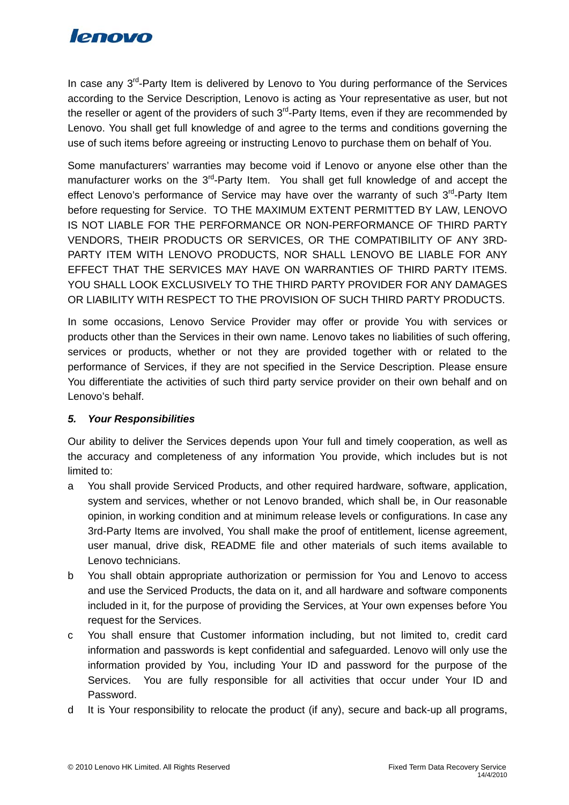

In case any  $3^{rd}$ -Party Item is delivered by Lenovo to You during performance of the Services according to the Service Description, Lenovo is acting as Your representative as user, but not the reseller or agent of the providers of such  $3<sup>rd</sup>$ -Party Items, even if they are recommended by Lenovo. You shall get full knowledge of and agree to the terms and conditions governing the use of such items before agreeing or instructing Lenovo to purchase them on behalf of You.

Some manufacturers' warranties may become void if Lenovo or anyone else other than the manufacturer works on the  $3<sup>rd</sup>$ -Party Item. You shall get full knowledge of and accept the effect Lenovo's performance of Service may have over the warranty of such  $3<sup>rd</sup>$ -Party Item before requesting for Service. TO THE MAXIMUM EXTENT PERMITTED BY LAW, LENOVO IS NOT LIABLE FOR THE PERFORMANCE OR NON-PERFORMANCE OF THIRD PARTY VENDORS, THEIR PRODUCTS OR SERVICES, OR THE COMPATIBILITY OF ANY 3RD-PARTY ITEM WITH LENOVO PRODUCTS, NOR SHALL LENOVO BE LIABLE FOR ANY EFFECT THAT THE SERVICES MAY HAVE ON WARRANTIES OF THIRD PARTY ITEMS. YOU SHALL LOOK EXCLUSIVELY TO THE THIRD PARTY PROVIDER FOR ANY DAMAGES OR LIABILITY WITH RESPECT TO THE PROVISION OF SUCH THIRD PARTY PRODUCTS.

In some occasions, Lenovo Service Provider may offer or provide You with services or products other than the Services in their own name. Lenovo takes no liabilities of such offering, services or products, whether or not they are provided together with or related to the performance of Services, if they are not specified in the Service Description. Please ensure You differentiate the activities of such third party service provider on their own behalf and on Lenovo's behalf.

## *5. Your Responsibilities*

Our ability to deliver the Services depends upon Your full and timely cooperation, as well as the accuracy and completeness of any information You provide, which includes but is not limited to:

- a You shall provide Serviced Products, and other required hardware, software, application, system and services, whether or not Lenovo branded, which shall be, in Our reasonable opinion, in working condition and at minimum release levels or configurations. In case any 3rd-Party Items are involved, You shall make the proof of entitlement, license agreement, user manual, drive disk, README file and other materials of such items available to Lenovo technicians.
- b You shall obtain appropriate authorization or permission for You and Lenovo to access and use the Serviced Products, the data on it, and all hardware and software components included in it, for the purpose of providing the Services, at Your own expenses before You request for the Services.
- c You shall ensure that Customer information including, but not limited to, credit card information and passwords is kept confidential and safeguarded. Lenovo will only use the information provided by You, including Your ID and password for the purpose of the Services. You are fully responsible for all activities that occur under Your ID and Password.
- d It is Your responsibility to relocate the product (if any), secure and back-up all programs,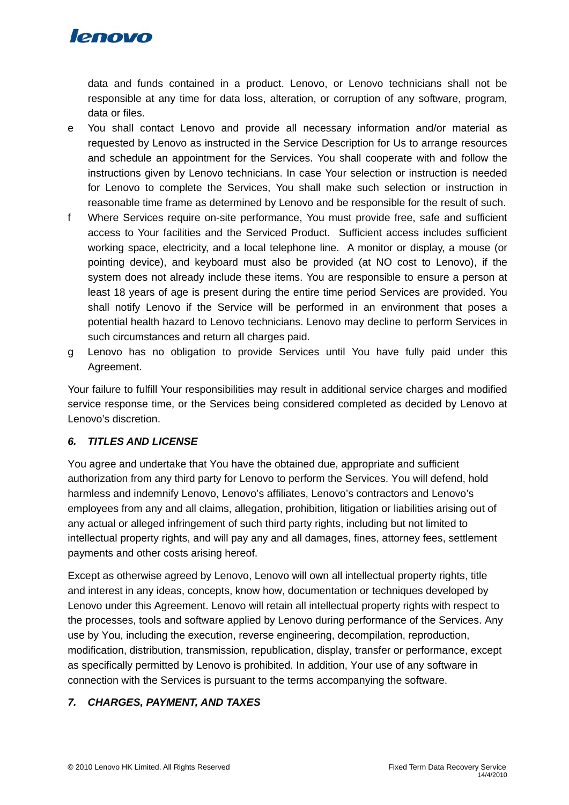

data and funds contained in a product. Lenovo, or Lenovo technicians shall not be responsible at any time for data loss, alteration, or corruption of any software, program, data or files.

- e You shall contact Lenovo and provide all necessary information and/or material as requested by Lenovo as instructed in the Service Description for Us to arrange resources and schedule an appointment for the Services. You shall cooperate with and follow the instructions given by Lenovo technicians. In case Your selection or instruction is needed for Lenovo to complete the Services, You shall make such selection or instruction in reasonable time frame as determined by Lenovo and be responsible for the result of such.
- f Where Services require on-site performance, You must provide free, safe and sufficient access to Your facilities and the Serviced Product. Sufficient access includes sufficient working space, electricity, and a local telephone line. A monitor or display, a mouse (or pointing device), and keyboard must also be provided (at NO cost to Lenovo), if the system does not already include these items. You are responsible to ensure a person at least 18 years of age is present during the entire time period Services are provided. You shall notify Lenovo if the Service will be performed in an environment that poses a potential health hazard to Lenovo technicians. Lenovo may decline to perform Services in such circumstances and return all charges paid.
- g Lenovo has no obligation to provide Services until You have fully paid under this Agreement.

Your failure to fulfill Your responsibilities may result in additional service charges and modified service response time, or the Services being considered completed as decided by Lenovo at Lenovo's discretion.

# *6. TITLES AND LICENSE*

You agree and undertake that You have the obtained due, appropriate and sufficient authorization from any third party for Lenovo to perform the Services. You will defend, hold harmless and indemnify Lenovo, Lenovo's affiliates, Lenovo's contractors and Lenovo's employees from any and all claims, allegation, prohibition, litigation or liabilities arising out of any actual or alleged infringement of such third party rights, including but not limited to intellectual property rights, and will pay any and all damages, fines, attorney fees, settlement payments and other costs arising hereof.

Except as otherwise agreed by Lenovo, Lenovo will own all intellectual property rights, title and interest in any ideas, concepts, know how, documentation or techniques developed by Lenovo under this Agreement. Lenovo will retain all intellectual property rights with respect to the processes, tools and software applied by Lenovo during performance of the Services. Any use by You, including the execution, reverse engineering, decompilation, reproduction, modification, distribution, transmission, republication, display, transfer or performance, except as specifically permitted by Lenovo is prohibited. In addition, Your use of any software in connection with the Services is pursuant to the terms accompanying the software.

# *7. CHARGES, PAYMENT, AND TAXES*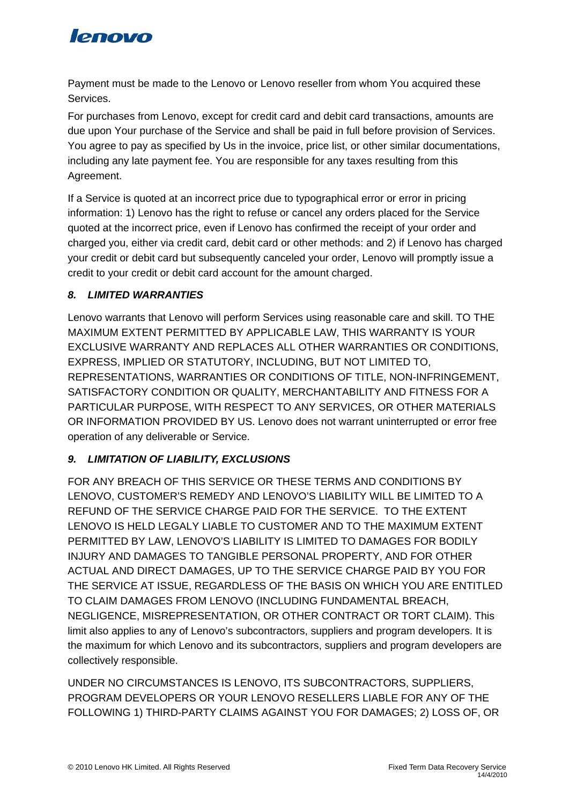

Payment must be made to the Lenovo or Lenovo reseller from whom You acquired these Services.

For purchases from Lenovo, except for credit card and debit card transactions, amounts are due upon Your purchase of the Service and shall be paid in full before provision of Services. You agree to pay as specified by Us in the invoice, price list, or other similar documentations, including any late payment fee. You are responsible for any taxes resulting from this Agreement.

If a Service is quoted at an incorrect price due to typographical error or error in pricing information: 1) Lenovo has the right to refuse or cancel any orders placed for the Service quoted at the incorrect price, even if Lenovo has confirmed the receipt of your order and charged you, either via credit card, debit card or other methods: and 2) if Lenovo has charged your credit or debit card but subsequently canceled your order, Lenovo will promptly issue a credit to your credit or debit card account for the amount charged.

# *8. LIMITED WARRANTIES*

Lenovo warrants that Lenovo will perform Services using reasonable care and skill. TO THE MAXIMUM EXTENT PERMITTED BY APPLICABLE LAW, THIS WARRANTY IS YOUR EXCLUSIVE WARRANTY AND REPLACES ALL OTHER WARRANTIES OR CONDITIONS, EXPRESS, IMPLIED OR STATUTORY, INCLUDING, BUT NOT LIMITED TO, REPRESENTATIONS, WARRANTIES OR CONDITIONS OF TITLE, NON-INFRINGEMENT, SATISFACTORY CONDITION OR QUALITY, MERCHANTABILITY AND FITNESS FOR A PARTICULAR PURPOSE, WITH RESPECT TO ANY SERVICES, OR OTHER MATERIALS OR INFORMATION PROVIDED BY US. Lenovo does not warrant uninterrupted or error free operation of any deliverable or Service.

# *9. LIMITATION OF LIABILITY, EXCLUSIONS*

FOR ANY BREACH OF THIS SERVICE OR THESE TERMS AND CONDITIONS BY LENOVO, CUSTOMER'S REMEDY AND LENOVO'S LIABILITY WILL BE LIMITED TO A REFUND OF THE SERVICE CHARGE PAID FOR THE SERVICE. TO THE EXTENT LENOVO IS HELD LEGALY LIABLE TO CUSTOMER AND TO THE MAXIMUM EXTENT PERMITTED BY LAW, LENOVO'S LIABILITY IS LIMITED TO DAMAGES FOR BODILY INJURY AND DAMAGES TO TANGIBLE PERSONAL PROPERTY, AND FOR OTHER ACTUAL AND DIRECT DAMAGES, UP TO THE SERVICE CHARGE PAID BY YOU FOR THE SERVICE AT ISSUE, REGARDLESS OF THE BASIS ON WHICH YOU ARE ENTITLED TO CLAIM DAMAGES FROM LENOVO (INCLUDING FUNDAMENTAL BREACH, NEGLIGENCE, MISREPRESENTATION, OR OTHER CONTRACT OR TORT CLAIM). This limit also applies to any of Lenovo's subcontractors, suppliers and program developers. It is the maximum for which Lenovo and its subcontractors, suppliers and program developers are collectively responsible.

UNDER NO CIRCUMSTANCES IS LENOVO, ITS SUBCONTRACTORS, SUPPLIERS, PROGRAM DEVELOPERS OR YOUR LENOVO RESELLERS LIABLE FOR ANY OF THE FOLLOWING 1) THIRD-PARTY CLAIMS AGAINST YOU FOR DAMAGES; 2) LOSS OF, OR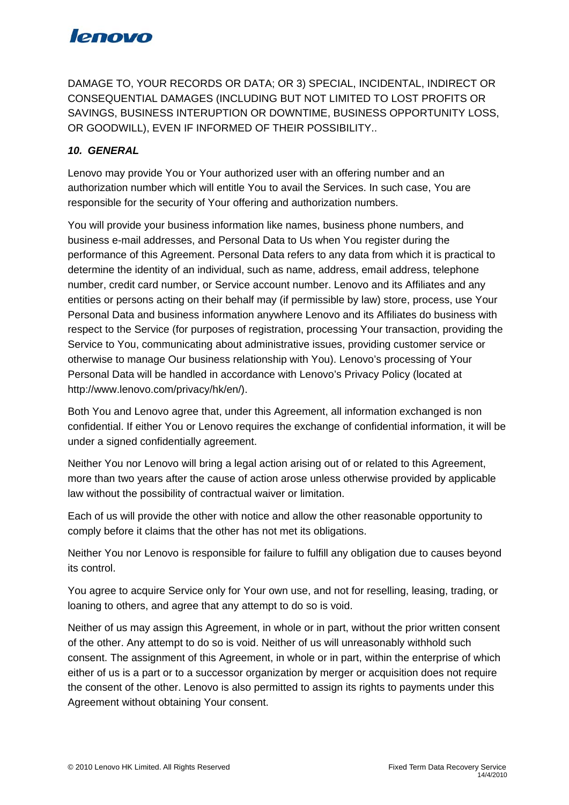# **lenovo**

DAMAGE TO, YOUR RECORDS OR DATA; OR 3) SPECIAL, INCIDENTAL, INDIRECT OR CONSEQUENTIAL DAMAGES (INCLUDING BUT NOT LIMITED TO LOST PROFITS OR SAVINGS, BUSINESS INTERUPTION OR DOWNTIME, BUSINESS OPPORTUNITY LOSS, OR GOODWILL), EVEN IF INFORMED OF THEIR POSSIBILITY..

# *10. GENERAL*

Lenovo may provide You or Your authorized user with an offering number and an authorization number which will entitle You to avail the Services. In such case, You are responsible for the security of Your offering and authorization numbers.

You will provide your business information like names, business phone numbers, and business e-mail addresses, and Personal Data to Us when You register during the performance of this Agreement. Personal Data refers to any data from which it is practical to determine the identity of an individual, such as name, address, email address, telephone number, credit card number, or Service account number. Lenovo and its Affiliates and any entities or persons acting on their behalf may (if permissible by law) store, process, use Your Personal Data and business information anywhere Lenovo and its Affiliates do business with respect to the Service (for purposes of registration, processing Your transaction, providing the Service to You, communicating about administrative issues, providing customer service or otherwise to manage Our business relationship with You). Lenovo's processing of Your Personal Data will be handled in accordance with Lenovo's Privacy Policy (located at http://www.lenovo.com/privacy/hk/en/).

Both You and Lenovo agree that, under this Agreement, all information exchanged is non confidential. If either You or Lenovo requires the exchange of confidential information, it will be under a signed confidentially agreement.

Neither You nor Lenovo will bring a legal action arising out of or related to this Agreement, more than two years after the cause of action arose unless otherwise provided by applicable law without the possibility of contractual waiver or limitation.

Each of us will provide the other with notice and allow the other reasonable opportunity to comply before it claims that the other has not met its obligations.

Neither You nor Lenovo is responsible for failure to fulfill any obligation due to causes beyond its control.

You agree to acquire Service only for Your own use, and not for reselling, leasing, trading, or loaning to others, and agree that any attempt to do so is void.

Neither of us may assign this Agreement, in whole or in part, without the prior written consent of the other. Any attempt to do so is void. Neither of us will unreasonably withhold such consent. The assignment of this Agreement, in whole or in part, within the enterprise of which either of us is a part or to a successor organization by merger or acquisition does not require the consent of the other. Lenovo is also permitted to assign its rights to payments under this Agreement without obtaining Your consent.